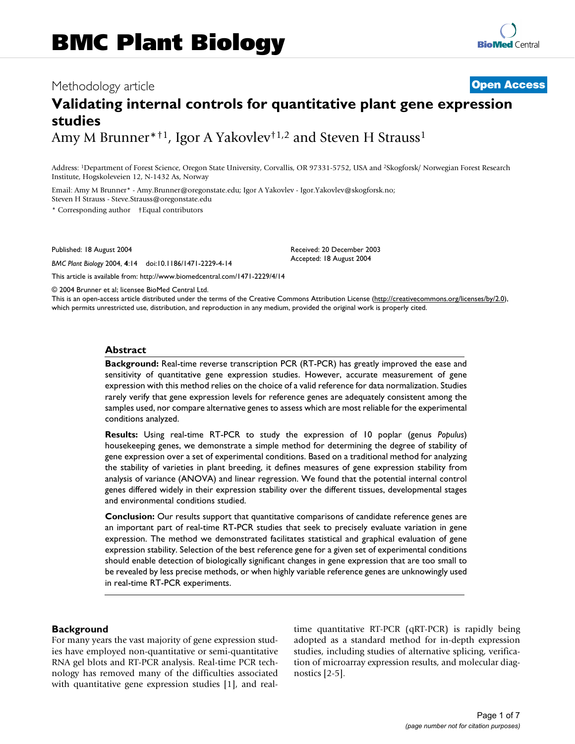## Methodology article **[Open Access](http://www.biomedcentral.com/info/about/charter/)**

# **Validating internal controls for quantitative plant gene expression studies**

Amy M Brunner\*<sup>†1</sup>, Igor A Yakovlev<sup>†1,2</sup> and Steven H Strauss<sup>1</sup>

Address: 1Department of Forest Science, Oregon State University, Corvallis, OR 97331-5752, USA and 2Skogforsk/ Norwegian Forest Research Institute, Hogskoleveien 12, N-1432 As, Norway

Email: Amy M Brunner\* - Amy.Brunner@oregonstate.edu; Igor A Yakovlev - Igor.Yakovlev@skogforsk.no; Steven H Strauss - Steve.Strauss@oregonstate.edu

\* Corresponding author †Equal contributors

Published: 18 August 2004

*BMC Plant Biology* 2004, **4**:14 doi:10.1186/1471-2229-4-14

[This article is available from: http://www.biomedcentral.com/1471-2229/4/14](http://www.biomedcentral.com/1471-2229/4/14)

Accepted: 18 August 2004

Received: 20 December 2003

© 2004 Brunner et al; licensee BioMed Central Ltd.

This is an open-access article distributed under the terms of the Creative Commons Attribution License (<http://creativecommons.org/licenses/by/2.0>), which permits unrestricted use, distribution, and reproduction in any medium, provided the original work is properly cited.

#### **Abstract**

**Background:** Real-time reverse transcription PCR (RT-PCR) has greatly improved the ease and sensitivity of quantitative gene expression studies. However, accurate measurement of gene expression with this method relies on the choice of a valid reference for data normalization. Studies rarely verify that gene expression levels for reference genes are adequately consistent among the samples used, nor compare alternative genes to assess which are most reliable for the experimental conditions analyzed.

**Results:** Using real-time RT-PCR to study the expression of 10 poplar (genus *Populus*) housekeeping genes, we demonstrate a simple method for determining the degree of stability of gene expression over a set of experimental conditions. Based on a traditional method for analyzing the stability of varieties in plant breeding, it defines measures of gene expression stability from analysis of variance (ANOVA) and linear regression. We found that the potential internal control genes differed widely in their expression stability over the different tissues, developmental stages and environmental conditions studied.

**Conclusion:** Our results support that quantitative comparisons of candidate reference genes are an important part of real-time RT-PCR studies that seek to precisely evaluate variation in gene expression. The method we demonstrated facilitates statistical and graphical evaluation of gene expression stability. Selection of the best reference gene for a given set of experimental conditions should enable detection of biologically significant changes in gene expression that are too small to be revealed by less precise methods, or when highly variable reference genes are unknowingly used in real-time RT-PCR experiments.

#### **Background**

For many years the vast majority of gene expression studies have employed non-quantitative or semi-quantitative RNA gel blots and RT-PCR analysis. Real-time PCR technology has removed many of the difficulties associated with quantitative gene expression studies [1], and realtime quantitative RT-PCR (qRT-PCR) is rapidly being adopted as a standard method for in-depth expression studies, including studies of alternative splicing, verification of microarray expression results, and molecular diagnostics [2-5].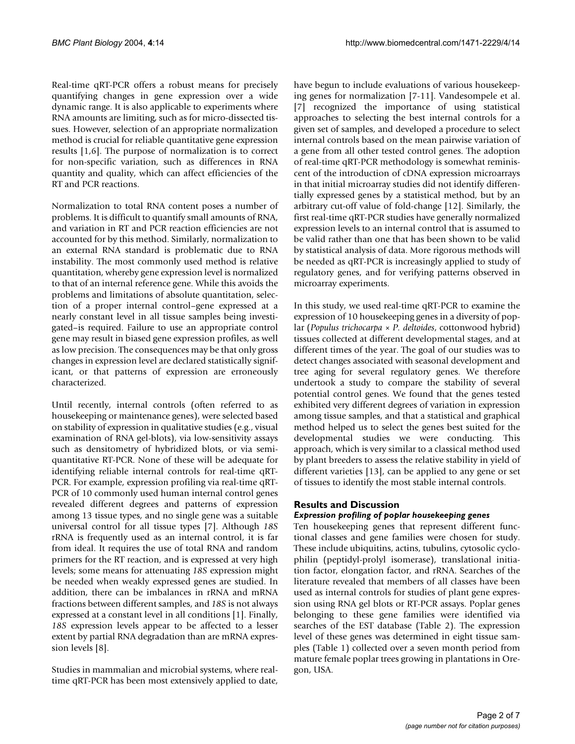Real-time qRT-PCR offers a robust means for precisely quantifying changes in gene expression over a wide dynamic range. It is also applicable to experiments where RNA amounts are limiting, such as for micro-dissected tissues. However, selection of an appropriate normalization method is crucial for reliable quantitative gene expression results [1,6]. The purpose of normalization is to correct for non-specific variation, such as differences in RNA quantity and quality, which can affect efficiencies of the RT and PCR reactions.

Normalization to total RNA content poses a number of problems. It is difficult to quantify small amounts of RNA, and variation in RT and PCR reaction efficiencies are not accounted for by this method. Similarly, normalization to an external RNA standard is problematic due to RNA instability. The most commonly used method is relative quantitation, whereby gene expression level is normalized to that of an internal reference gene. While this avoids the problems and limitations of absolute quantitation, selection of a proper internal control–gene expressed at a nearly constant level in all tissue samples being investigated–is required. Failure to use an appropriate control gene may result in biased gene expression profiles, as well as low precision. The consequences may be that only gross changes in expression level are declared statistically significant, or that patterns of expression are erroneously characterized.

Until recently, internal controls (often referred to as housekeeping or maintenance genes), were selected based on stability of expression in qualitative studies (e.g., visual examination of RNA gel-blots), via low-sensitivity assays such as densitometry of hybridized blots, or via semiquantitative RT-PCR. None of these will be adequate for identifying reliable internal controls for real-time qRT-PCR. For example, expression profiling via real-time qRT-PCR of 10 commonly used human internal control genes revealed different degrees and patterns of expression among 13 tissue types, and no single gene was a suitable universal control for all tissue types [7]. Although *18S* rRNA is frequently used as an internal control, it is far from ideal. It requires the use of total RNA and random primers for the RT reaction, and is expressed at very high levels; some means for attenuating *18S* expression might be needed when weakly expressed genes are studied. In addition, there can be imbalances in rRNA and mRNA fractions between different samples, and *18S* is not always expressed at a constant level in all conditions [1]. Finally, *18S* expression levels appear to be affected to a lesser extent by partial RNA degradation than are mRNA expression levels [8].

Studies in mammalian and microbial systems, where realtime qRT-PCR has been most extensively applied to date,

have begun to include evaluations of various housekeeping genes for normalization [7-11]. Vandesompele et al. [7] recognized the importance of using statistical approaches to selecting the best internal controls for a given set of samples, and developed a procedure to select internal controls based on the mean pairwise variation of a gene from all other tested control genes. The adoption of real-time qRT-PCR methodology is somewhat reminiscent of the introduction of cDNA expression microarrays in that initial microarray studies did not identify differentially expressed genes by a statistical method, but by an arbitrary cut-off value of fold-change [12]. Similarly, the first real-time qRT-PCR studies have generally normalized expression levels to an internal control that is assumed to be valid rather than one that has been shown to be valid by statistical analysis of data. More rigorous methods will be needed as qRT-PCR is increasingly applied to study of regulatory genes, and for verifying patterns observed in microarray experiments.

In this study, we used real-time qRT-PCR to examine the expression of 10 housekeeping genes in a diversity of poplar (*Populus trichocarpa* × *P. deltoides*, cottonwood hybrid) tissues collected at different developmental stages, and at different times of the year. The goal of our studies was to detect changes associated with seasonal development and tree aging for several regulatory genes. We therefore undertook a study to compare the stability of several potential control genes. We found that the genes tested exhibited very different degrees of variation in expression among tissue samples, and that a statistical and graphical method helped us to select the genes best suited for the developmental studies we were conducting. This approach, which is very similar to a classical method used by plant breeders to assess the relative stability in yield of different varieties [13], can be applied to any gene or set of tissues to identify the most stable internal controls.

## **Results and Discussion**

## *Expression profiling of poplar housekeeping genes*

Ten housekeeping genes that represent different functional classes and gene families were chosen for study. These include ubiquitins, actins, tubulins, cytosolic cyclophilin (peptidyl-prolyl isomerase), translational initiation factor, elongation factor, and rRNA. Searches of the literature revealed that members of all classes have been used as internal controls for studies of plant gene expression using RNA gel blots or RT-PCR assays. Poplar genes belonging to these gene families were identified via searches of the EST database (Table [2](#page-2-0)). The expression level of these genes was determined in eight tissue samples (Table [1](#page-2-1)) collected over a seven month period from mature female poplar trees growing in plantations in Oregon, USA.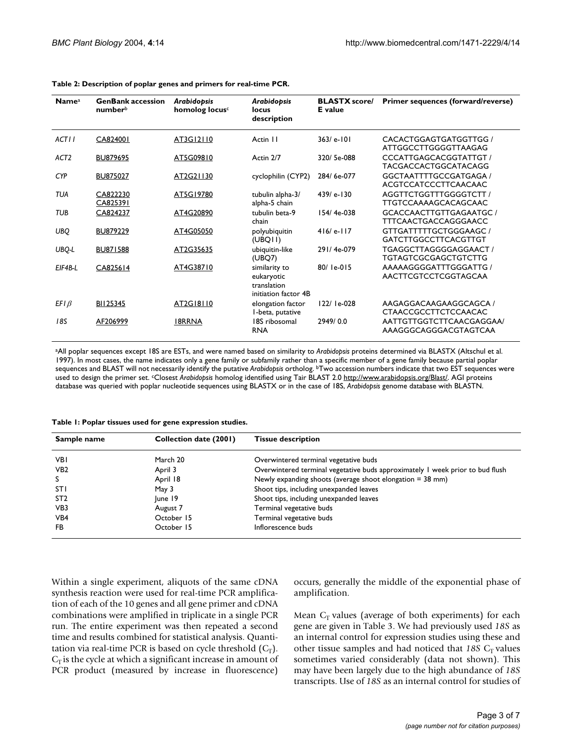| <b>Name</b> <sup>a</sup> | <b>GenBank accession</b><br>number <sup>b</sup> | Arabidopsis<br>homolog locus <sup>c</sup> | Arabidopsis<br>locus<br>description                                | <b>BLASTX</b> score/<br>E value | Primer sequences (forward/reverse)                    |
|--------------------------|-------------------------------------------------|-------------------------------------------|--------------------------------------------------------------------|---------------------------------|-------------------------------------------------------|
| <b>ACTII</b>             | CA824001                                        | AT3G12110                                 | Actin 11                                                           | $363/ e - 101$                  | CACACTGGAGTGATGGTTGG /<br>ATTGGCCTTGGGGTTAAGAG        |
| ACT <sub>2</sub>         | BU879695                                        | AT5G09810                                 | Actin 2/7                                                          | 320/5e-088                      | CCCATTGAGCACGGTATTGT /<br>TACGACCACTGGCATACAGG        |
| <b>CYP</b>               | <b>BU875027</b>                                 | AT2G21130                                 | cyclophilin (CYP2)                                                 | 284/6e-077                      | GGCTAATTTTGCCGATGAGA /<br><b>ACGTCCATCCCTTCAACAAC</b> |
| <b>TUA</b>               | CA822230<br>CA825391                            | AT5G19780                                 | tubulin alpha-3/<br>alpha-5 chain                                  | 439/e-130                       | AGGTTCTGGTTTGGGGTCTT /<br><b>TTGTCCAAAAGCACAGCAAC</b> |
| <b>TUB</b>               | CA824237                                        | AT4G20890                                 | tubulin beta-9<br>chain                                            | 154/4e-038                      | GCACCAACTTGTTGAGAATGC /<br>TTTCAACTGACCAGGGAACC       |
| UBQ                      | BU879229                                        | AT4G05050                                 | polyubiquitin<br>(UBQII)                                           | $416/e-117$                     | GTTGATTTTTGCTGGGAAGC /<br><b>GATCTTGGCCTTCACGTTGT</b> |
| UBQ-L                    | BU871588                                        | AT2G35635                                 | ubiquitin-like<br>(UBQ7)                                           | 291/4e-079                      | TGAGGCTTAGGGGAGGAACT /<br><b>TGTAGTCGCGAGCTGTCTTG</b> |
| EIF4B-L                  | CA825614                                        | AT4G38710                                 | similarity to<br>eukaryotic<br>translation<br>initiation factor 4B | 80/le-015                       | AAAAAGGGGATTTGGGATTG /<br>AACTTCGTCCTCGGTAGCAA        |
| EFI $\beta$              | BI125345                                        | AT2G18110                                 | elongation factor<br>I-beta, putative                              | 122/ le-028                     | AAGAGGACAAGAAGGCAGCA /<br><b>CTAACCGCCTTCTCCAACAC</b> |
| <b>18S</b>               | AF206999                                        | <b>I8RRNA</b>                             | 18S ribosomal<br><b>RNA</b>                                        | 2949/0.0                        | AATTGTTGGTCTTCAACGAGGAA/<br>AAAGGGCAGGGACGTAGTCAA     |

#### <span id="page-2-0"></span>**Table 2: Description of poplar genes and primers for real-time PCR.**

aAll poplar sequences except 18S are ESTs, and were named based on similarity to *Arabidopsis* proteins determined via BLASTX (Altschul et al. 1997). In most cases, the name indicates only a gene family or subfamily rather than a specific member of a gene family because partial poplar sequences and BLAST will not necessarily identify the putative *Arabidopsis* ortholog. bTwo accession numbers indicate that two EST sequences were used to design the primer set. cClosest *Arabidopsis* homolog identified using Tair BLAST 2.0 [http://www.arabidopsis.org/Blast/.](http://www.arabidopsis.org/Blast/) AGI proteins database was queried with poplar nucleotide sequences using BLASTX or in the case of 18S, *Arabidopsis* genome database with BLASTN.

<span id="page-2-1"></span>

| Table 1: Poplar tissues used for gene expression studies. |  |  |
|-----------------------------------------------------------|--|--|
|-----------------------------------------------------------|--|--|

| Sample name     | Collection date (2001) | <b>Tissue description</b>                                                     |
|-----------------|------------------------|-------------------------------------------------------------------------------|
| <b>VBI</b>      | March 20               | Overwintered terminal vegetative buds                                         |
| VB <sub>2</sub> | April 3                | Overwintered terminal vegetative buds approximately I week prior to bud flush |
| s               | April 18               | Newly expanding shoots (average shoot elongation = 38 mm)                     |
| <b>STI</b>      | May 3                  | Shoot tips, including unexpanded leaves                                       |
| ST <sub>2</sub> | $ une$ $ 9 $           | Shoot tips, including unexpanded leaves                                       |
| VB <sub>3</sub> | August 7               | Terminal vegetative buds                                                      |
| VB4             | October 15             | Terminal vegetative buds                                                      |
| FB              | October 15             | Inflorescence buds                                                            |

Within a single experiment, aliquots of the same cDNA synthesis reaction were used for real-time PCR amplification of each of the 10 genes and all gene primer and cDNA combinations were amplified in triplicate in a single PCR run. The entire experiment was then repeated a second time and results combined for statistical analysis. Quantitation via real-time PCR is based on cycle threshold  $(C_T)$ .  $C_T$  is the cycle at which a significant increase in amount of PCR product (measured by increase in fluorescence) occurs, generally the middle of the exponential phase of amplification.

Mean  $C_T$  values (average of both experiments) for each gene are given in Table [3](#page-3-0). We had previously used *18S* as an internal control for expression studies using these and other tissue samples and had noticed that 18S C<sub>T</sub> values sometimes varied considerably (data not shown). This may have been largely due to the high abundance of *18S* transcripts. Use of *18S* as an internal control for studies of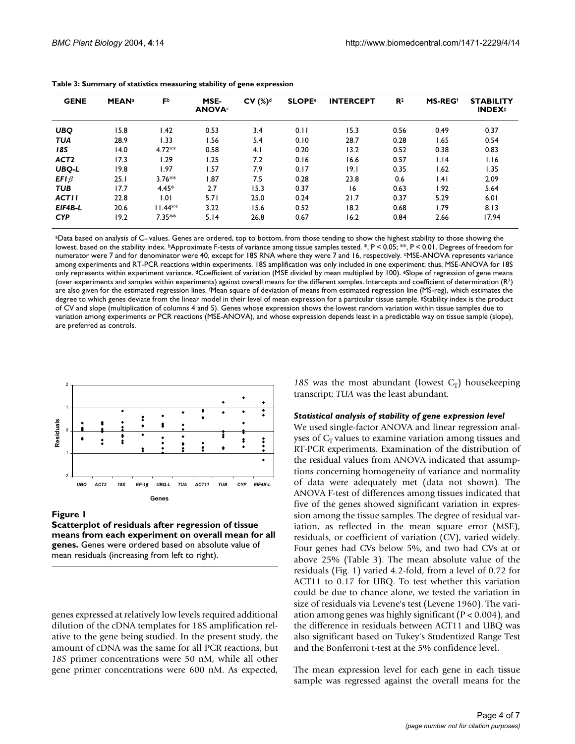| <b>GENE</b>      | <b>MEAN</b> <sup>a</sup> | F <sub>p</sub> | MSE-<br><b>ANOVA</b> <sup>c</sup> | $CV(%)^d$ | <b>SLOPE<sup>e</sup></b> | <b>INTERCEPT</b> | $\mathbb{R}^2$ | <b>MS-REGf</b> | <b>STABILITY</b><br><b>INDEX</b> <sub>8</sub> |
|------------------|--------------------------|----------------|-----------------------------------|-----------|--------------------------|------------------|----------------|----------------|-----------------------------------------------|
| <b>UBO</b>       | 15.8                     | 1.42           | 0.53                              | 3.4       | 0.11                     | 15.3             | 0.56           | 0.49           | 0.37                                          |
| <b>TUA</b>       | 28.9                     | 1.33           | 1.56                              | 5.4       | 0.10                     | 28.7             | 0.28           | 1.65           | 0.54                                          |
| <b>18S</b>       | 14.0                     | $4.72**$       | 0.58                              | 4.1       | 0.20                     | 13.2             | 0.52           | 0.38           | 0.83                                          |
| ACT <sub>2</sub> | 17.3                     | 1.29           | 1.25                              | 7.2       | 0.16                     | 16.6             | 0.57           | 1.14           | 1.16                                          |
| UBQ-L            | 19.8                     | l.97           | 1.57                              | 7.9       | 0.17                     | 9.1              | 0.35           | 1.62           | 1.35                                          |
| EFI $\beta$      | 25.1                     | $3.76**$       | 1.87                              | 7.5       | 0.28                     | 23.8             | 0.6            | .4             | 2.09                                          |
| <b>TUB</b>       | 17.7                     | $4.45*$        | 2.7                               | 15.3      | 0.37                     | 16               | 0.63           | 1.92           | 5.64                                          |
| <b>ACTII</b>     | 22.8                     | 1.01           | 5.71                              | 25.0      | 0.24                     | 21.7             | 0.37           | 5.29           | 6.01                                          |
| EIF4B-L          | 20.6                     | $11.44**$      | 3.22                              | 15.6      | 0.52                     | 18.2             | 0.68           | 1.79           | 8.13                                          |
| <b>CYP</b>       | 19.2                     | $7.35**$       | 5.14                              | 26.8      | 0.67                     | 16.2             | 0.84           | 2.66           | 17.94                                         |

<span id="page-3-0"></span>

| Table 3: Summary of statistics measuring stability of gene expression |
|-----------------------------------------------------------------------|
|-----------------------------------------------------------------------|

aData based on analysis of C<sub>T</sub> values. Genes are ordered, top to bottom, from those tending to show the highest stability to those showing the lowest, based on the stability index. <sup>b</sup>Approximate F-tests of variance among tissue samples tested. \*, P < 0.05; \*\*, P < 0.01. Degrees of freedom for numerator were 7 and for denominator were 40, except for 18S RNA where they were 7 and 16, respectively. CMSE-ANOVA represents variance among experiments and RT-PCR reactions within experiments. 18S amplification was only included in one experiment; thus, MSE-ANOVA for 18S only represents within experiment variance. <sup>d</sup>Coefficient of variation (MSE divided by mean multiplied by 100). <sup>e</sup>Slope of regression of gene means (over experiments and samples within experiments) against overall means for the different samples. Intercepts and coefficient of determination  $(R^2)$ are also given for the estimated regression lines. Mean square of deviation of means from estimated regression line (MS-reg), which estimates the degree to which genes deviate from the linear model in their level of mean expression for a particular tissue sample. <sup>g</sup>Stability index is the product of CV and slope (multiplication of columns 4 and 5). Genes whose expression shows the lowest random variation within tissue samples due to variation among experiments or PCR reactions (MSE-ANOVA), and whose expression depends least in a predictable way on tissue sample (slope), are preferred as controls.



## Figure 1

**Scatterplot of residuals after regression of tissue means from each experiment on overall mean for all genes.** Genes were ordered based on absolute value of mean residuals (increasing from left to right).

genes expressed at relatively low levels required additional dilution of the cDNA templates for 18S amplification relative to the gene being studied. In the present study, the amount of cDNA was the same for all PCR reactions, but *18S* primer concentrations were 50 nM, while all other gene primer concentrations were 600 nM. As expected,

18S was the most abundant (lowest  $C_T$ ) housekeeping transcript; *TUA* was the least abundant.

## *Statistical analysis of stability of gene expression level*

We used single-factor ANOVA and linear regression analyses of  $C_T$  values to examine variation among tissues and RT-PCR experiments. Examination of the distribution of the residual values from ANOVA indicated that assumptions concerning homogeneity of variance and normality of data were adequately met (data not shown). The ANOVA F-test of differences among tissues indicated that five of the genes showed significant variation in expression among the tissue samples. The degree of residual variation, as reflected in the mean square error (MSE), residuals, or coefficient of variation (CV), varied widely. Four genes had CVs below 5%, and two had CVs at or above 25% (Table [3\)](#page-3-0). The mean absolute value of the residuals (Fig. 1) varied 4.2-fold, from a level of 0.72 for ACT11 to 0.17 for UBQ. To test whether this variation could be due to chance alone, we tested the variation in size of residuals via Levene's test (Levene 1960). The variation among genes was highly significant (P < 0.004), and the difference in residuals between ACT11 and UBQ was also significant based on Tukey's Studentized Range Test and the Bonferroni t-test at the 5% confidence level.

The mean expression level for each gene in each tissue sample was regressed against the overall means for the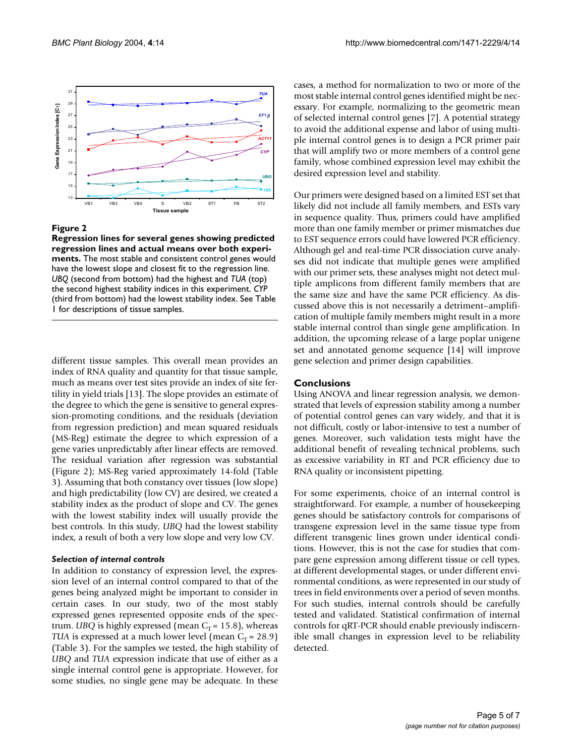

#### Figure 2

**Regression lines for several genes showing predicted regression lines and actual means over both experiments.** The most stable and consistent control genes would have the lowest slope and closest fit to the regression line. *UBQ* (second from bottom) had the highest and *TUA* (top) the second highest stability indices in this experiment. *CYP*  (third from bottom) had the lowest stability index. See Table 1 for descriptions of tissue samples.

different tissue samples. This overall mean provides an index of RNA quality and quantity for that tissue sample, much as means over test sites provide an index of site fertility in yield trials [13]. The slope provides an estimate of the degree to which the gene is sensitive to general expression-promoting conditions, and the residuals (deviation from regression prediction) and mean squared residuals (MS-Reg) estimate the degree to which expression of a gene varies unpredictably after linear effects are removed. The residual variation after regression was substantial (Figure 2); MS-Reg varied approximately 14-fold (Table [3\)](#page-3-0). Assuming that both constancy over tissues (low slope) and high predictability (low CV) are desired, we created a stability index as the product of slope and CV. The genes with the lowest stability index will usually provide the best controls. In this study, *UBQ* had the lowest stability index, a result of both a very low slope and very low CV.

#### *Selection of internal controls*

In addition to constancy of expression level, the expression level of an internal control compared to that of the genes being analyzed might be important to consider in certain cases. In our study, two of the most stably expressed genes represented opposite ends of the spectrum. *UBQ* is highly expressed (mean  $C_T$  = 15.8), whereas *TUA* is expressed at a much lower level (mean  $C_T = 28.9$ ) (Table [3](#page-3-0)). For the samples we tested, the high stability of *UBQ* and *TUA* expression indicate that use of either as a single internal control gene is appropriate. However, for some studies, no single gene may be adequate. In these cases, a method for normalization to two or more of the most stable internal control genes identified might be necessary. For example, normalizing to the geometric mean of selected internal control genes [7]. A potential strategy to avoid the additional expense and labor of using multiple internal control genes is to design a PCR primer pair that will amplify two or more members of a control gene family, whose combined expression level may exhibit the desired expression level and stability.

Our primers were designed based on a limited EST set that likely did not include all family members, and ESTs vary in sequence quality. Thus, primers could have amplified more than one family member or primer mismatches due to EST sequence errors could have lowered PCR efficiency. Although gel and real-time PCR dissociation curve analyses did not indicate that multiple genes were amplified with our primer sets, these analyses might not detect multiple amplicons from different family members that are the same size and have the same PCR efficiency. As discussed above this is not necessarily a detriment–amplification of multiple family members might result in a more stable internal control than single gene amplification. In addition, the upcoming release of a large poplar unigene set and annotated genome sequence [14] will improve gene selection and primer design capabilities.

#### **Conclusions**

Using ANOVA and linear regression analysis, we demonstrated that levels of expression stability among a number of potential control genes can vary widely, and that it is not difficult, costly or labor-intensive to test a number of genes. Moreover, such validation tests might have the additional benefit of revealing technical problems, such as excessive variability in RT and PCR efficiency due to RNA quality or inconsistent pipetting.

For some experiments, choice of an internal control is straightforward. For example, a number of housekeeping genes should be satisfactory controls for comparisons of transgene expression level in the same tissue type from different transgenic lines grown under identical conditions. However, this is not the case for studies that compare gene expression among different tissue or cell types, at different developmental stages, or under different environmental conditions, as were represented in our study of trees in field environments over a period of seven months. For such studies, internal controls should be carefully tested and validated. Statistical confirmation of internal controls for qRT-PCR should enable previously indiscernible small changes in expression level to be reliability detected.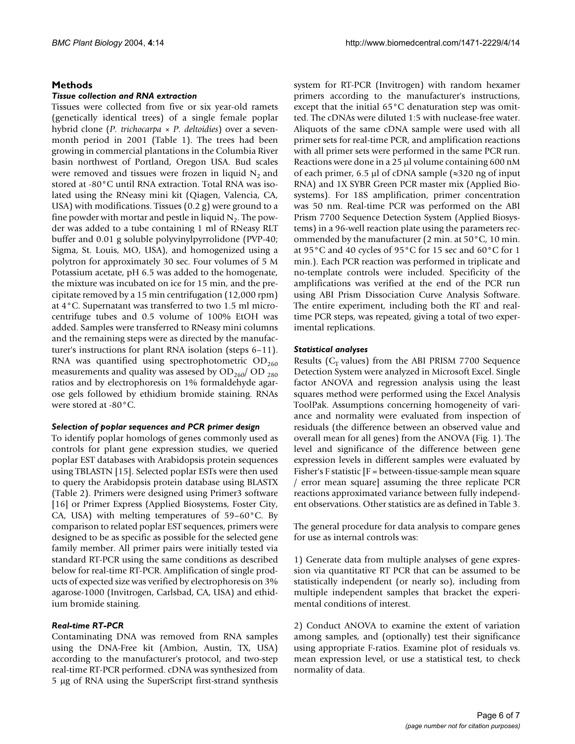## **Methods**

## *Tissue collection and RNA extraction*

Tissues were collected from five or six year-old ramets (genetically identical trees) of a single female poplar hybrid clone (*P. trichocarpa* × *P. deltoidies*) over a sevenmonth period in 2001 (Table [1\)](#page-2-1). The trees had been growing in commercial plantations in the Columbia River basin northwest of Portland, Oregon USA. Bud scales were removed and tissues were frozen in liquid  $N<sub>2</sub>$  and stored at -80°C until RNA extraction. Total RNA was isolated using the RNeasy mini kit (Qiagen, Valencia, CA, USA) with modifications. Tissues (0.2 g) were ground to a fine powder with mortar and pestle in liquid  $N<sub>2</sub>$ . The powder was added to a tube containing 1 ml of RNeasy RLT buffer and 0.01 g soluble polyvinylpyrrolidone (PVP-40; Sigma, St. Louis, MO, USA), and homogenized using a polytron for approximately 30 sec. Four volumes of 5 M Potassium acetate, pH 6.5 was added to the homogenate, the mixture was incubated on ice for 15 min, and the precipitate removed by a 15 min centrifugation (12,000 rpm) at 4°C. Supernatant was transferred to two 1.5 ml microcentrifuge tubes and 0.5 volume of 100% EtOH was added. Samples were transferred to RNeasy mini columns and the remaining steps were as directed by the manufacturer's instructions for plant RNA isolation (steps 6–11). RNA was quantified using spectrophotometric  $OD_{260}$ measurements and quality was assesed by  $OD<sub>260</sub>/OD<sub>280</sub>$ ratios and by electrophoresis on 1% formaldehyde agarose gels followed by ethidium bromide staining. RNAs were stored at -80°C.

## *Selection of poplar sequences and PCR primer design*

To identify poplar homologs of genes commonly used as controls for plant gene expression studies, we queried poplar EST databases with Arabidopsis protein sequences using TBLASTN [15]. Selected poplar ESTs were then used to query the Arabidopsis protein database using BLASTX (Table [2](#page-2-0)). Primers were designed using Primer3 software [16] or Primer Express (Applied Biosystems, Foster City, CA, USA) with melting temperatures of  $59-60^{\circ}$ C. By comparison to related poplar EST sequences, primers were designed to be as specific as possible for the selected gene family member. All primer pairs were initially tested via standard RT-PCR using the same conditions as described below for real-time RT-PCR. Amplification of single products of expected size was verified by electrophoresis on 3% agarose-1000 (Invitrogen, Carlsbad, CA, USA) and ethidium bromide staining.

## *Real-time RT-PCR*

Contaminating DNA was removed from RNA samples using the DNA-Free kit (Ambion, Austin, TX, USA) according to the manufacturer's protocol, and two-step real-time RT-PCR performed. cDNA was synthesized from 5 µg of RNA using the SuperScript first-strand synthesis

system for RT-PCR (Invitrogen) with random hexamer primers according to the manufacturer's instructions, except that the initial 65°C denaturation step was omitted. The cDNAs were diluted 1:5 with nuclease-free water. Aliquots of the same cDNA sample were used with all primer sets for real-time PCR, and amplification reactions with all primer sets were performed in the same PCR run. Reactions were done in a 25 µl volume containing 600 nM of each primer, 6.5 µl of cDNA sample ( $\approx$ 320 ng of input RNA) and 1X SYBR Green PCR master mix (Applied Biosystems). For 18S amplification, primer concentration was 50 nm. Real-time PCR was performed on the ABI Prism 7700 Sequence Detection System (Applied Biosystems) in a 96-well reaction plate using the parameters recommended by the manufacturer (2 min. at 50°C, 10 min. at 95°C and 40 cycles of 95°C for 15 sec and 60°C for 1 min.). Each PCR reaction was performed in triplicate and no-template controls were included. Specificity of the amplifications was verified at the end of the PCR run using ABI Prism Dissociation Curve Analysis Software. The entire experiment, including both the RT and realtime PCR steps, was repeated, giving a total of two experimental replications.

### *Statistical analyses*

Results ( $C_T$  values) from the ABI PRISM 7700 Sequence Detection System were analyzed in Microsoft Excel. Single factor ANOVA and regression analysis using the least squares method were performed using the Excel Analysis ToolPak. Assumptions concerning homogeneity of variance and normality were evaluated from inspection of residuals (the difference between an observed value and overall mean for all genes) from the ANOVA (Fig. 1). The level and significance of the difference between gene expression levels in different samples were evaluated by Fisher's F statistic [F = between-tissue-sample mean square / error mean square] assuming the three replicate PCR reactions approximated variance between fully independent observations. Other statistics are as defined in Table [3.](#page-3-0)

The general procedure for data analysis to compare genes for use as internal controls was:

1) Generate data from multiple analyses of gene expression via quantitative RT PCR that can be assumed to be statistically independent (or nearly so), including from multiple independent samples that bracket the experimental conditions of interest.

2) Conduct ANOVA to examine the extent of variation among samples, and (optionally) test their significance using appropriate F-ratios. Examine plot of residuals vs. mean expression level, or use a statistical test, to check normality of data.